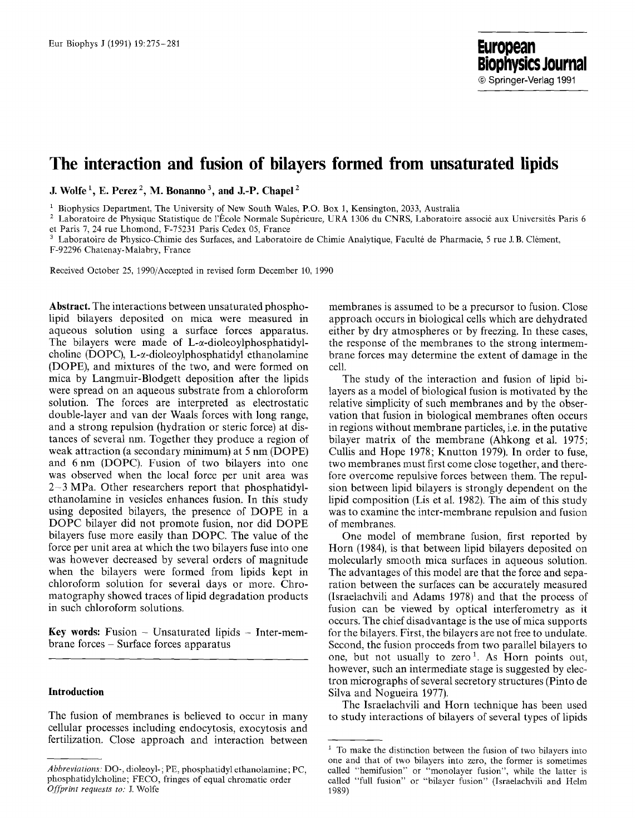# **The interaction and fusion of bilayers formed from unsaturated lipids**

**J.** Wolfe<sup>1</sup>, E. Perez<sup>2</sup>, M. Bonanno<sup>3</sup>, and J.-P. Chapel<sup>2</sup>

 $1$  Biophysics Department, The University of New South Wales, P.O. Box 1, Kensington, 2033, Australia

<sup>2</sup> Laboratoire de Physique Statistique de l'École Normale Supérieure, URA 1306 du CNRS, Laboratoire associé aux Universités Paris 6 et Paris 7, 24 rue Lhomond, F-75231 Paris Cedex 05, France

Laboratoire de Physico-Chimie des Surfaces, and Laboratoire de Chimie Analytique, Faculté de Pharmacie, 5 rue J. B. Clément, F-92296 Chatenay-Malabry, France

Received October 25, 1990/Accepted in revised form December 10, 1990

**Abstract.** The interactions between unsaturated phospholipid bilayers deposited on mica were measured in aqueous solution using a surface forces apparatus. The bilayers were made of  $L$ - $\alpha$ -dioleoylphosphatidylcholine (DOPC), L- $\alpha$ -dioleoylphosphatidyl ethanolamine (DOPE), and mixtures of the two, and were formed on mica by Langmuir-Blodgett deposition after the lipids were spread on an aqueous substrate from a chloroform solution. The forces are interpreted as electrostatic double-layer and van der Waals forces with long range, and a strong repulsion (hydration or steric force) at distances of several nm. Together they produce a region of weak attraction (a secondary minimum) at 5 nm (DOPE) and 6 nm (DOPC). Fusion of two bilayers into one was observed when the local force per unit area was 2--3 MPa. Other researchers report that phosphatidylethanolamine in vesicles enhances fusion. In this study using deposited bilayers, the presence of DOPE in a DOPC bilayer did not promote fusion, nor did DOPE bilayers fuse more easily than DOPC. The value of the force per unit area at which the two bilayers fuse into one was however decreased by several orders of magnitude when the bilayers were formed from lipids kept in chloroform solution for several days or more. Chromatography showed traces of lipid degradation products in such chloroform solutions.

Key words: Fusion - Unsaturated lipids - Inter-membrane forces - Surface forces apparatus

## **Introduction**

The fusion of membranes is believed to occur in many cellular processes including endocytosis, exocytosis and fertilization. Close approach and interaction between membranes is assumed to be a precursor to fusion. Close approach occurs in biological cells which are dehydrated either by dry atmospheres or by freezing. In these cases, the response of the membranes to the strong intermembrane forces may determine the extent of damage in **the**  cell.

The study of the interaction and fusion of lipid bilayers as a model of biological fusion is motivated by the relative simplicity of such membranes and by the observation that fusion in biological membranes often occurs in regions without membrane particles, i.e. in the putative bilayer matrix of the membrane (Ahkong et al. 1975; Cullis and Hope 1978; Knutton 1979). In order to fuse, two membranes must first come close together, and therefore overcome repulsive forces between them. The repulsion between lipid bilayers is strongly dependent on the lipid composition (Lis et al. 1982). The aim of this study was to examine the inter-membrane repulsion and fusion of membranes.

One model of membrane fusion, first reported by Horn (1984), is that between lipid bilayers deposited on molecularly smooth mica surfaces in aqueous solution. The advantages of this model are that the force and separation between the surfaces can be accurately measured (Israelachvili and Adams 1978) and that the process of fusion can be viewed by optical interferometry as it occurs. The chief disadvantage is the use of mica supports for the bilayers. First, the bilayers are not free to undulate. Second, the fusion proceeds from two parallel bilayers to one, but not usually to zero<sup>1</sup>. As Horn points out, however, such an intermediate stage is suggested by electron micrographs of several secretory structures (Pinto de Silva and Nogueira 1977).

The Israelachvili and Horn technique has been used to study interactions of bilayers of several types of lipids

*Abbreviations:* DO-, dioleoyl- ; PE, phosphatidyl ethanolamine; PC, phosphatidylcholine; FECO, fringes of equal chromatic order *Offprint requests to: J.* Wolfe

 $1$  To make the distinction between the fusion of two bilayers into one and that of two bilayers into zero, the former is sometimes called "hemifusion" or "monolayer fusion", while the latter is called "full fusion" or "bilayer fusion" (Israelachvili and Helm 1989)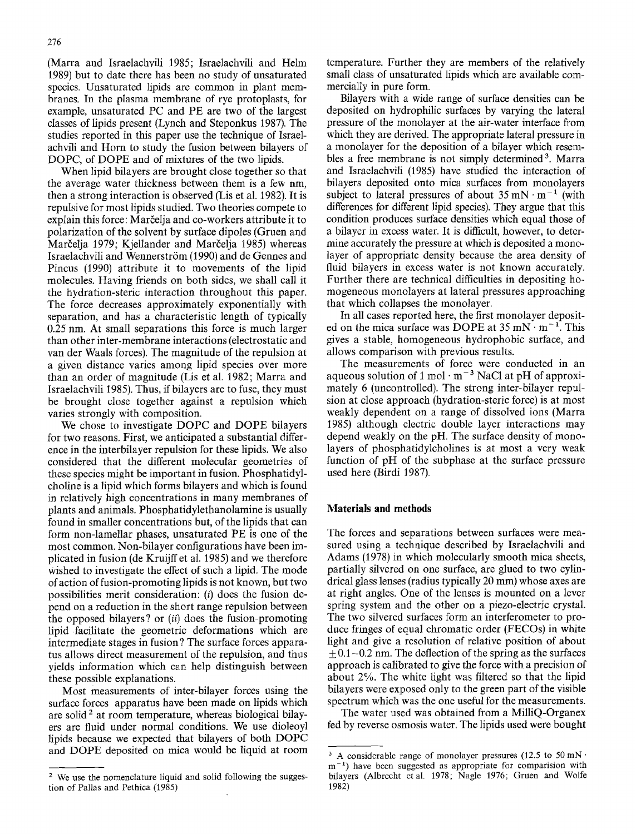(Marra and Israelachvili 1985; Israelachvili and Helm 1989) but to date there has been no study of unsaturated species. Unsaturated lipids are common in plant membranes. In the plasma membrane of rye protoplasts, for example, unsaturated PC and PE are two of the largest classes of lipids present (Lynch and Steponkus 1987). The studies reported in this paper use the technique of Israelachvili and Horn to study the fusion between bilayers of DOPC, of DOPE and of mixtures of the two lipids.

When lipid bilayers are brought close together so that the average water thickness between them is a few nm, then a strong interaction is observed (Lis et al. 1982). It is repulsive for most lipids studied. Two theories compete to explain this force: Marčelia and co-workers attribute it to polarization of the solvent by surface dipoles (Gruen and Marčelja 1979; Kjellander and Marčelja 1985) whereas Israelachvili and Wennerström (1990) and de Gennes and Pincus (1990) attribute it to movements of the lipid molecules. Having friends on both sides, we shall call it the hydration-steric interaction throughout this paper. The force decreases approximately exponentially with separation, and has a characteristic length of typically 0.25 nm. At small separations this force is much larger than other inter-membrane interactions (electrostatic and van der Waals forces). The magnitude of the repulsion at a given distance varies among lipid species over more than an order of magnitude (Lis et al. 1982; Marra and Israelachvili 1985). Thus, if bilayers are to fuse, they must be brought close together against a repulsion which varies strongly with composition.

We chose to investigate DOPC and DOPE bilayers for two reasons. First, we anticipated a substantial difference in the interbilayer repulsion for these lipids. We also considered that the different molecular geometries of these species might be important in fusion. Phosphatidylcholine is a lipid which forms bilayers and which is found in relatively high concentrations in many membranes of plants and animals. Phosphatidylethanolamine is usually found in smaller concentrations but, of the lipids that can form non-lamellar phases, unsaturated PE is one of the most common. Non-bilayer configurations have been implicated in fusion (de Kruijff et al. 1985) and we therefore wished to investigate the effect of such a lipid. The mode of action of fusion-promoting lipids is not known, but two possibilities merit consideration: (i) does the fusion depend on a reduction in the short range repulsion between the opposed bilayers ? or *(ii)* does the fusion-promoting lipid facilitate the geometric deformations which are intermediate stages in fusion ? The surface forces apparatus allows direct measurement of the repulsion, and thus yields information which can help distinguish between these possible explanations.

Most measurements of inter-bilayer forces using the surface forces apparatus have been made on lipids which are solid<sup>2</sup> at room temperature, whereas biological bilayers are fluid under normal conditions. We use dioleoyl lipids because we expected that bilayers of both DOPC and DOPE deposited on mica would be liquid at room temperature. Further they are members of the relatively small class of unsaturated lipids which are available commercially in pure form.

Bilayers with a wide range of surface densities can be deposited on hydrophilic surfaces by varying the lateral pressure of the monolayer at the air-water interface from which they are derived. The appropriate lateral pressure in a monolayer for the deposition of a bilayer which resembles a free membrane is not simply determined<sup>3</sup>. Marra and Israelachvili (1985) have studied the interaction of bilayers deposited onto mica surfaces from monolayers subject to lateral pressures of about  $35 \text{ mN} \cdot \text{m}^{-1}$  (with differences for different lipid species). They argue that this condition produces surface densities which equal those of a bilayer in excess water. It is difficult, however, to determine accurately the pressure at which is deposited a monolayer of appropriate density because the area density of fluid bilayers in excess water is not known accurately. Further there are technical difficulties in depositing homogeneous monolayers at lateral pressures approaching that which collapses the monolayer.

In all cases reported here, the first monolayer deposited on the mica surface was DOPE at  $35 \text{ mN} \cdot \text{m}^{-1}$ . This gives a stable, homogeneous hydrophobic surface, and allows comparison with previous results.

The measurements of force were conducted in an aqueous solution of 1 mol  $\cdot$  m<sup>-3</sup> NaCl at pH of approximately 6 (uncontrolled). The strong inter-bilayer repulsion at close approach (hydration-steric force) is at most weakly dependent on a range of dissolved ions (Marra 1985) although electric double layer interactions may depend weakly on the pH. The surface density of monolayers of phosphatidylcholines is at most a very weak function of pH of the subphase at the surface pressure used here (Birdi 1987).

#### **Materials and methods**

The forces and separations between surfaces were measured using a technique described by Israelachvili and Adams (1978) in which molecularly smooth mica sheets, partially silvered on one surface, are glued to two cylindrical glass lenses (radius typically 20 mm) whose axes are at right angles. One of the lenses is mounted on a lever spring system and the other on a piezo-electric crystal. The two silvered surfaces form an interferometer to produce fringes of equal chromatic order (FECOs) in white light and give a resolution of relative position of about  $+ 0.1 - 0.2$  nm. The deflection of the spring as the surfaces approach is calibrated to give the force with a precision of about 2%. The white light was filtered so that the lipid bilayers were exposed only to the green part of the visible spectrum which was the one useful for the measurements.

The water used was obtained from a MilliQ-Organex fed by reverse osmosis water. The lipids used were bought

<sup>2</sup> We use the nomenclature liquid and solid following the suggestion of Pallas and Pethica (1985)

<sup>&</sup>lt;sup>3</sup> A considerable range of monolayer pressures (12.5 to 50 mN $\cdot$  $m<sup>-1</sup>$ ) have been suggested as appropriate for comparision with bilayers (Albrecht etal. 1978; Nagle 1976; Gruen and Wolfe 1982)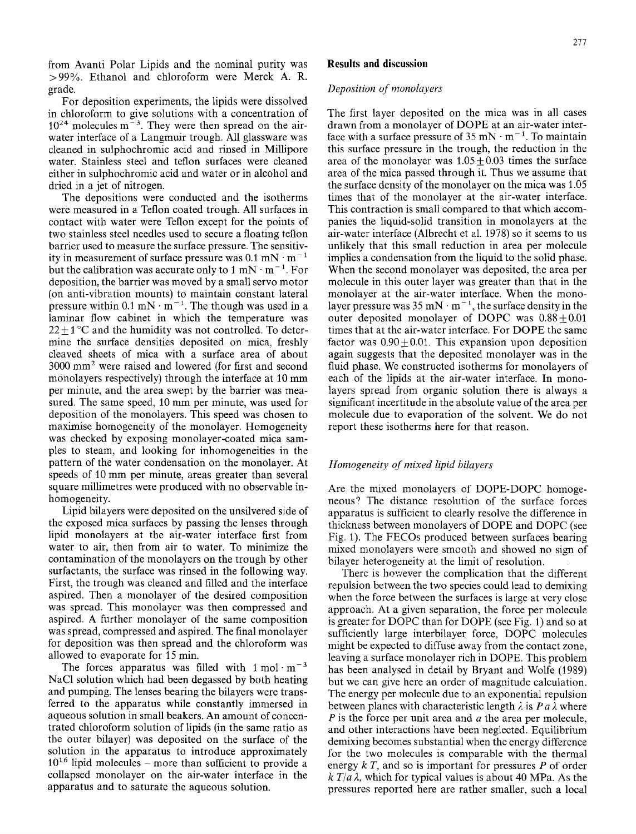from Avanti Polar Lipids and the nominal purity was >99%. Ethanol and chloroform were Merck A. R. grade.

For deposition experiments, the lipids were dissolved in chloroform to give solutions with a concentration of  $10^{24}$  molecules m<sup>-3</sup>. They were then spread on the airwater interface of a Langmuir trough. All glassware was cleaned in sulphochromic acid and rinsed in Millipore water. Stainless steel and teflon surfaces were cleaned either in sulphochromic acid and water or in alcohol and dried in a jet of nitrogen.

The depositions were conducted and the isotherms were measured in a Teflon coated trough. All surfaces in contact with water were Teflon except for the points of two stainless steel needles used to secure a floating tellon barrier used to measure the surface pressure. The sensitivity in measurement of surface pressure was  $0.1 \text{ mN} \cdot \text{m}^{-1}$ but the calibration was accurate only to 1 mN  $\cdot$  m<sup>-1</sup>. For deposition, the barrier was moved by a small servo motor (on anti-vibration mounts) to maintain constant lateral pressure within  $0.1 \text{ mN} \cdot \text{m}^{-1}$ . The though was used in a laminar flow cabinet in which the temperature was  $22 \pm 1$  °C and the humidity was not controlled. To determine the surface densities deposited on mica, freshly cleaved sheets of mica with a surface area of about 3000 mm 2 were raised and lowered (for first and second monolayers respectively) through the interface at 10 mm per minute, and the area swept by the barrier was measured. The same speed, 10 mm per minute, was used for deposition of the monolayers. This speed was chosen to maximise homogeneity of the monolayer. Homogeneity was checked by exposing monolayer-coated mica samples to steam, and looking for inhomogeneities in the pattern of the water condensation on the monolayer. At speeds of 10 mm per minute, areas greater than several square millimetres were produced with no observable inhomogeneity.

Lipid bilayers were deposited on the unsilvered side of the exposed mica surfaces by passing the lenses through lipid monolayers at the air-water interface first from water to air, then from air to water. To minimize the contamination of the monolayers on the trough by other surfactants, the surface was rinsed in the following way. First, the trough was cleaned and filled and the interface aspired. Then a monolayer of the desired composition was spread. This monolayer was then compressed and aspired. A further monolayer of the same composition was spread, compressed and aspired. The final monolayer for deposition was then spread and the chloroform was allowed to evaporate for 15 min.

The forces apparatus was filled with  $1 \text{ mol} \cdot \text{m}^{-3}$ NaC1 solution which had been degassed by both heating and pumping. The lenses bearing the bilayers were transferred to the apparatus while constantly immersed in aqueous solution in small beakers. An amount of concentrated chloroform solution of lipids (in the same ratio as the outer bilayer) was deposited on the surface of the solution in the apparatus to introduce approximately  $10^{16}$  lipid molecules – more than sufficient to provide a collapsed monolayer on the air-water interface in the apparatus and to saturate the aqueous solution.

## *Deposition of monolayers*

The first layer deposited on the mica was in all cases drawn from a monolayer of DOPE at an air-water interface with a surface pressure of  $35 \text{ mN} \cdot \text{m}^{-1}$ . To maintain this surface pressure in the trough, the reduction in the area of the monolayer was  $1.05+0.03$  times the surface area of the mica passed through it. Thus we assume that the surface density of the monolayer on the mica was 1.05 times that of the monolayer at the air-water interface. This contraction is small compared to that which accompanies the liquid-solid transition in monolayers at the air-water interface (Albrecht et al. 1978) so it seems to us unlikely that this small reduction in area per molecule implies a condensation from the liquid to the solid phase. When the second monolayer was deposited, the area per molecule in this outer layer was greater than that in the monolayer at the air-water interface. When the monolayer pressure was  $35 \text{ mN} \cdot \text{m}^{-1}$ , the surface density in the outer deposited monolayer of DOPC was  $0.88 + 0.01$ times that at the air-water interface. For DOPE the same factor was  $0.90 + 0.01$ . This expansion upon deposition again suggests that the deposited monolayer was in the fluid phase. We constructed isotherms for monolayers of each of the lipids at the air-water interface. In monolayers spread from organic solution there is always a significant incertitude in the absolute value of the area per molecule due to evaporation of the solvent. We do not report these isotherms here for that reason.

## *Homogeneity of mixed lipid biIayers*

Are the mixed monolayers of DOPE-DOPC homogeneous? The distance resolution of the surface forces apparatus is sufficient to clearly resolve the difference in thickness between monolayers of DOPE and DOPC (see Fig. 1). The FECOs produced between surfaces bearing mixed monolayers were smooth and showed no sign of bilayer heterogeneity at the limit of resolution.

There is however the complication that the different repulsion between the two species could lead to demixing when the force between the surfaces is large at very close approach. At a given separation, the force per molecule is greater for DOPC than for DOPE (see Fig. 1) and so at sufficiently large interbilayer force, DOPC molecules might be expected to diffuse away from the contact zone, leaving a surface monolayer rich in DOPE. This problem has been analysed in detail by Bryant and Wolfe (1989) but we can give here an order of magnitude calculation. The energy per molecule due to an exponential repulsion between planes with characteristic length  $\lambda$  is  $Pa\lambda$  where  $P$  is the force per unit area and  $a$  the area per molecule, and other interactions have been neglected. Equilibrium demixing becomes substantial when the energy difference for the two molecules is comparable with the thermal energy  $kT$ , and so is important for pressures P of order  $k T/a \lambda$ , which for typical values is about 40 MPa. As the pressures reported here are rather smaller, such a local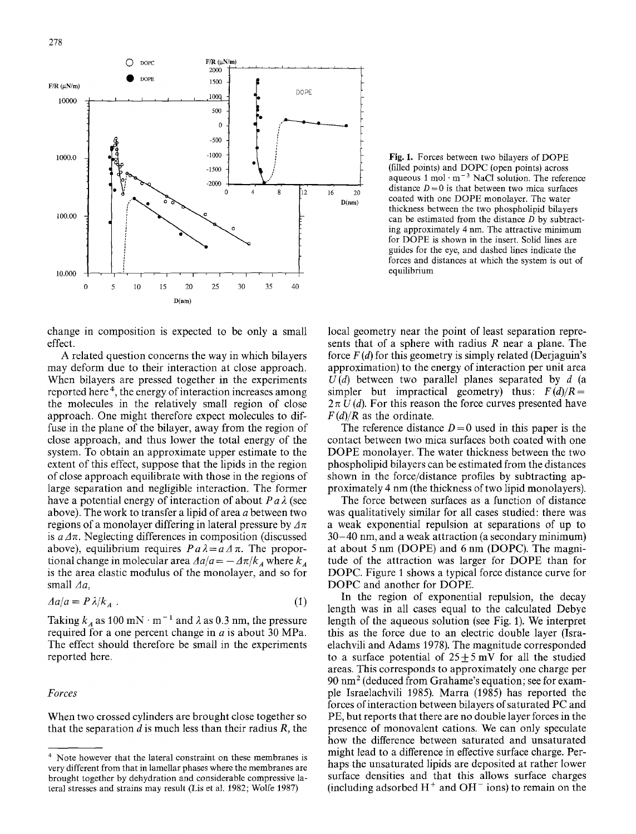

Fig. 1. Forces between two bilayers of DOPE (filled points) and DOPC (open points) across aqueous  $1 \text{ mol} \cdot \text{m}^{-3}$  NaCl solution. The reference distance  $D = 0$  is that between two mica surfaces coated with one DOPE monolayer. The water thickness between the two phospholipid bilayers can be estimated from the distance  $D$  by subtracting approximately 4 nm. The attractive minimum for DOPE is shown in the insert. Solid lines are guides for the eye, and dashed lines indicate the forces and distances at which the system is out of equilibrium

change in composition is expected to be only a small effect.

A related question concerns the way in which bilayers may deform due to their interaction at close approach. When bilayers are pressed together in the experiments reported here<sup>4</sup>, the energy of interaction increases among the molecules in the relatively small region of close approach. One might therefore expect molecules to diffuse in the plane of the bilayer, away from the region of close approach, and thus lower the total energy of the system. To obtain an approximate upper estimate to the extent of this effect, suppose that the lipids in the region of close approach equilibrate with those in the regions of large separation and negligible interaction. The former have a potential energy of interaction of about  $P \, a \, \lambda$  (see above). The work to transfer a lipid of area a between two regions of a monolayer differing in lateral pressure by  $\Delta \pi$ is  $a/\pi$ . Neglecting differences in composition (discussed above), equilibrium requires  $Pa\lambda = a\Delta\pi$ . The proportional change in molecular area  $\Delta a/a = -\Delta \pi/k_A$  where  $k_A$ is the area elastic modulus of the monolayer, and so for small *Aa,* 

$$
\Delta a/a = P \lambda / k_A \tag{1}
$$

Taking  $k_A$  as 100 mN · m<sup>-1</sup> and  $\lambda$  as 0.3 nm, the pressure required for a one percent change in  $a$  is about 30 MPa. The effect should therefore be small in the experiments reported here.

#### *Forces*

When two crossed cylinders are brought close together so that the separation  $d$  is much less than their radius  $R$ , the local geometry near the point of least separation represents that of a sphere with radius  $R$  near a plane. The force  $F(d)$  for this geometry is simply related (Derjaguin's approximation) to the energy of interaction per unit area  $U(d)$  between two parallel planes separated by  $d$  (a simpler but impractical geometry) thus:  $F(d)/R =$  $2 \pi U (d)$ . For this reason the force curves presented have *F (d)/R* as the ordinate.

The reference distance  $D=0$  used in this paper is the contact between two mica surfaces both coated with one DOPE monolayer. The water thickness between the two phospholipid bilayers can be estimated from the distances shown in the force/distance profiles by subtracting approximately 4 nm (the thickness of two lipid monolayers).

The force between surfaces as a function of distance was qualitatively similar for all cases studied: there was a weak exponential repulsion at separations of up to 30-40 nm, and a weak attraction (a secondary minimum) at about 5 nm (DOPE) and 6 nm (DOPC). The magnitude of the attraction was larger for DOPE than for DOPC. Figure 1 shows a typical force distance curve for DOPC and another for DOPE.

In the region of exponential repulsion, the decay length was in all cases equal to the calculated Debye length of the aqueous solution (see Fig. 1). We interpret this as the force due to an electric double layer (Israelachvili and Adams 1978). The magnitude corresponded to a surface potential of  $25 \pm 5$  mV for all the studied areas. This corresponds to approximately one charge per  $90 \text{ nm}^2$  (deduced from Grahame's equation; see for example Israelachvili 1985). Marra (1985) has reported the forces of interaction between bilayers of saturated PC and PE, but reports that there are no double layer forces in the presence of monovalent cations. We can only speculate how the difference between saturated and unsaturated might lead to a difference in effective surface charge. Perhaps the unsaturated lipids are deposited at rather lower surface densities and that this allows surface charges (including adsorbed  $H^+$  and  $OH^-$  ions) to remain on the

<sup>4</sup> Note however that the lateral constraint on these membranes is very different from that in lamellar phases where the membranes are brought together by dehydration and considerable compressive lateral stresses and strains may result (Lis et al. 1982; Wolfe 1987)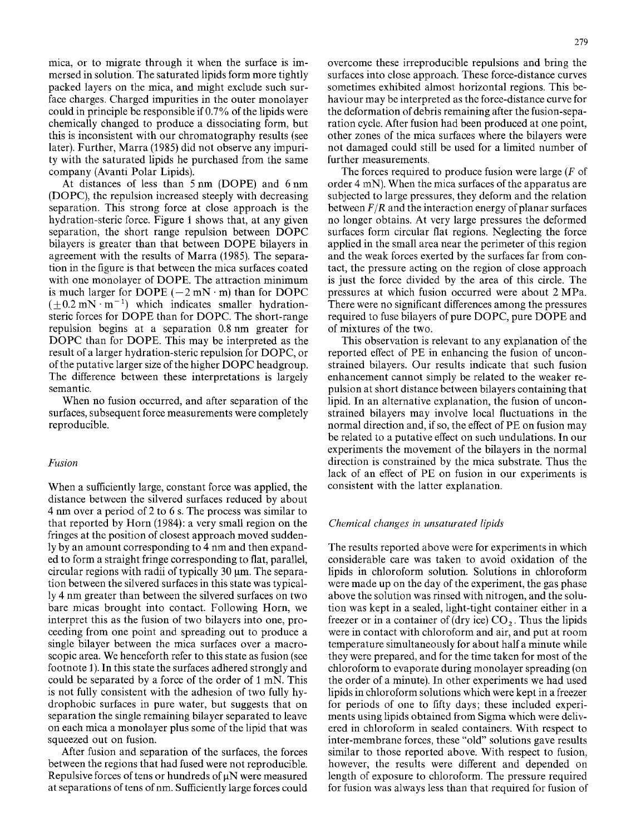mica, or to migrate through it when the surface is immersed in solution. The saturated lipids form more tightly packed layers on the mica, and might exclude such surface charges. Charged impurities in the outer monolayer could in principle be responsible if 0.7% of the lipids were chemically changed to produce a dissociating form, but this is inconsistent with our chromatography results (see later). Further, Marra (1985) did not observe any impurity with the saturated lipids he purchased from the same company (Avanti Polar Lipids).

At distances of less than 5 nm (DOPE) and 6 nm (DOPC), the repulsion increased steeply with decreasing separation. This strong force at close approach is the hydration-steric force. Figure I shows that, at any given separation, the short range repulsion between DOPC bilayers is greater than that between DOPE bilayers in agreement with the results of Marra (1985). The separation in the figure is that between the mica surfaces coated with one monolayer of DOPE. The attraction minimum is much larger for DOPE  $(-2 \text{ mN} \cdot \text{m})$  than for DOPC  $(+0.2 \text{ mN} \cdot \text{m}^{-1})$  which indicates smaller hydrationsteric forces for DOPE than for DOPC. The short-range repulsion begins at a separation 0.8 nm greater for DOPC than for DOPE. This may be interpreted as the result of a larger hydration-steric repulsion for DOPC, or of the putative larger size of the higher DOPC headgroup. The difference between these interpretations is largely semantic.

When no fusion occurred, and after separation of the surfaces, subsequent force measurements were completely reproducible.

# *Fusion*

When a sufficiently large, constant force was applied, the distance between the silvered surfaces reduced by about 4 nm over a period of 2 to 6 s. The process was similar to that reported by Horn (1984): a very small region on the fringes at the position of closest approach moved suddenly by an amount corresponding to 4 nm and then expanded to form a straight fringe corresponding to flat, parallel, circular regions with radii of typically  $30 \mu m$ . The separation between the silvered surfaces in this state was typically 4 nm greater than between the silvered surfaces on two bare micas brought into contact. Following Horn, we interpret this as the fusion of two bilayers into one, proceeding from one point and spreading out to produce a single bilayer between the mica surfaces over a macroscopic area. We henceforth refer to this state as fusion (see footnote 1). In this state the surfaces adhered strongly and could be separated by a force of the order of 1 mN. This is not fully consistent with the adhesion of two fully hydrophobic surfaces in pure water, but suggests that on separation the single remaining bilayer separated to leave on each mica a monolayer plus some of the lipid that was squeezed out on fusion.

After fusion and separation of the surfaces, the forces between the regions that had fused were not reproducible. Repulsive forces of tens or hundreds of  $\mu$ N were measured at separations of tens of nm. Sufficiently large forces could overcome these irreproducible repulsions and bring the surfaces into close approach. These force-distance curves sometimes exhibited almost horizontal regions. This behaviour may be interpreted as the force-distance curve for the deformation of debris remaining after the fusion-separation cycle. After fusion had been produced at one point, other zones of the mica surfaces where the bilayers were not damaged could still be used for a limited number of further measurements.

The forces required to produce fusion were large (F of order 4 mN). When the mica surfaces of the apparatus are subjected to large pressures, they deform and the relation between *F/R* and the interaction energy of planar surfaces no longer obtains. At very large pressures the deformed surfaces form circular flat regions. Neglecting the force applied in the small area near the perimeter of this region and the weak forces exerted by the surfaces far from contact, the pressure acting on the region of close approach is just the force divided by the area of this circle. The pressures at which fusion occurred were about 2 MPa. There were no significant differences among the pressures required to fuse bilayers of pure DOPC, pure DOPE and of mixtures of the two.

This observation is relevant to any explanation of the reported effect of PE in enhancing the fusion of unconstrained bilayers. Our results indicate that such fusion enhancement cannot simply be related to the weaker repulsion at short distance between bilayers containing that lipid. In an alternative explanation, the fusion of unconstrained bilayers may involve local fluctuations in the normal direction and, if so, the effect of PE on fusion may be related to a putative effect on such undulations. In our experiments the movement of the bilayers in the normal direction is constrained by the mica substrate. Thus the lack of an effect of PE on fusion in our experiments is consistent with the latter explanation.

## *Chemical changes in unsaturated lipids*

The results reported above were for experiments in which considerable care was taken to avoid oxidation of the lipids in chloroform solution. Solutions in chloroform were made up on the day of the experiment, the gas phase above the solution was rinsed with nitrogen, and the solution was kept in a sealed, light-tight container either in a freezer or in a container of (dry ice)  $CO<sub>2</sub>$ . Thus the lipids were in contact with chloroform and air, and put at room temperature simultaneously for about half a minute while they were prepared, and for the time taken for most of the chloroform to evaporate during monolayer spreading (on the order of a minute). In other experiments we had used lipids in chloroform solutions which were kept in a freezer for periods of one to fifty days; these included experiments using lipids obtained from Sigma which were delivered in chloroform in sealed containers. With respect to inter-membrane forces, these "old" solutions gave results similar to those reported above. With respect to fusion, however, the results were different and depended on length of exposure to chloroform. The pressure required for fusion was always less than that required for fusion of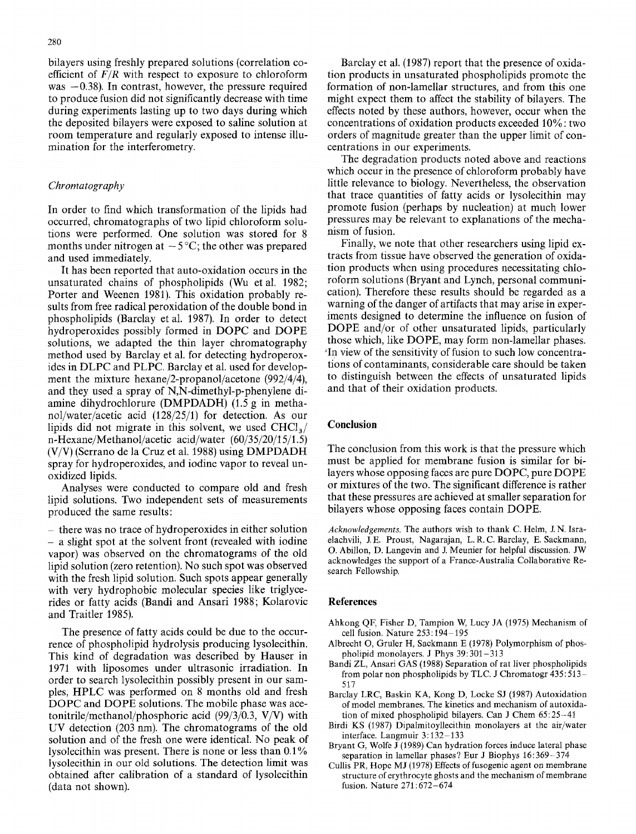bilayers using freshly prepared solutions (correlation coefficient of  $F/R$  with respect to exposure to chloroform was  $-0.38$ ). In contrast, however, the pressure required to produce fusion did not significantly decrease with time during experiments lasting up to two days during which the deposited bilayers were exposed to saline solution at room temperature and regularly exposed to intense illumination for the interferometry.

#### *Chromatography*

In order to find which transformation of the lipids had occurred, chromatographs of two lipid chloroform solutions were performed. One solution was stored for 8 months under nitrogen at  $-5^{\circ}$ C; the other was prepared and used immediately.

It has been reported that auto-oxidation occurs in the unsaturated chains of phospholipids (Wu et al. 1982; Porter and Weenen 1981). This oxidation probably results from free radical peroxidation of the double bond in phospholipids (Barclay et al. 1987). In order to detect hydroperoxides possibly formed in DOPC and DOPE solutions, we adapted the thin layer chromatography method used by Barclay et al. for detecting hydroperoxides in DLPC and PLPC. Barclay et al. used for development the mixture hexane/2-propanol/acetone (992/4/4), and they used a spray of N,N-dimethyl-p-phenylene diamine dihydrochlorure (DMPDADH) (1.5 g in methanol/water/acetic acid (128/25/1) for detection. As our lipids did not migrate in this solvent, we used  $CHCl<sub>3</sub>/$ n-Hexane/Methanol/acetic acid/water (60/35/20/15/1.5) (V/V) (Serrano de la Cruz et al. 1988) using DMPDADH spray for hydroperoxides, and iodine vapor to reveal unoxidized lipids.

Analyses were conducted to compare old and fresh lipid solutions. Two independent sets of measurements produced the same results:

 $-$  there was no trace of hydroperoxides in either solution - a slight spot at the solvent front (revealed with iodine vapor) was observed on the chromatograms of the old lipid solution (zero retention): No such spot was observed with the fresh lipid solution. Such spots appear generally with very hydrophobic molecular species like triglycerides or fatty acids (Bandi and Ansari 1988; Kolarovic and Traitler 1985).

The presence of fatty acids could be due to the occurrence of phospholipid hydrolysis producing lysolecithin. This kind of degradation was described by Hauser in 1971 with liposomes under ultrasonic irradiation. In order to search lysolecithin possibly present in our samples, HPLC was performed on 8 months old and fresh DOPC and DOPE solutions. The mobile phase was acetonitrile/methanol/phosphoric acid *(99/3/0.3,* V/V) with UV detection (203 nm). The chromatograms of the old solution and of the fresh one were identical. No peak of lysolecithin was present. There is none or less than 0.1% lysolecithin in our old solutions. The detection limit was obtained after calibration of a standard of lysolecithin (data not shown).

Barclay et al. (1987) report that the presence of oxidation products in unsaturated phospholipids promote the formation of non-lamellar structures, and from this one might expect them to affect the stability of bilayers. The effects noted by these authors, however, occur when the concentrations of oxidation products exceeded 10%: two orders of magnitude greater than the upper limit of concentrations in our experiments.

The degradation products noted above and reactions which occur in the presence of chloroform probably have little relevance to biology. Nevertheless, the observation that trace quantities of fatty acids or lysolecithin may promote fusion (perhaps by nucleation) at much lower pressures may be relevant to explanations of the mechanism of fusion.

Finally, we note that other researchers using lipid extracts from tissue have observed the generation of oxidation products when using procedures necessitating chloroform solutions (Bryant and Lynch, personal communication). Therefore these results should be regarded as a warning of the danger of artifacts that may arise in experiments designed to determine the influence on fusion of DOPE and/or of other unsaturated lipids, particularly those which, like DOPE, may form non-lamellar phases. "In view of the sensitivity of fusion to such low concentrations of contaminants, considerable care should be taken to distinguish between the effects of unsaturated lipids and that of their oxidation products.

# **Conclusion**

The conclusion from this work is that the pressure which must be applied for membrane fusion is similar for bilayers whose opposing faces are pure DOPC, pure DOPE or mixtures of the two. The significant difference is rather that these pressures are achieved at smaller separation for bilayers whose opposing faces contain DOPE.

*Acknowledgements.* The authors wish to thank C. Helm, J.N. Israelachvili, J.E. Proust, Nagarajan, L.R.C. Barclay, E. Sackmann, O. Abillon, D. Langevin and J. Meunier for helpful discussion. JW acknowledges the support of a France-Australia Collaborative Research Fellowship.

#### **References**

- Ahkong QF, Fisher D, Tampion W, Lucy JA (1975) Mechanism of cell fusion. Nature  $253:194-195$
- Albrecht O, Gruler H, Sackmann E (1978) Polymorphism of phospholipid monolayers. J Phys 39:301-313
- Bandi ZL, Ansari GAS (1988) Separation of rat liver phospholipids from polar non phospholipids by TLC. J Chromatogr 435:513 517
- Barclay LRC, Baskin KA, Kong D, Locke SJ (1987) Autoxidation of model membranes. The kinetics and mechanism of autoxidation of mixed phospholipid bilayers. Can J Chem 65:25-41
- Birdi KS (1987) Dipalmitoyllecithin monolayers at the air/water interface. Langmuir  $3:132-133$
- Bryant G, Wolfe J (1989) Can hydration forces induce lateral phase separation in lamellar phases ? Eur J Biophys 16: 369- 374
- Cullis PR, Hope MJ (1978) Effects of fusogenic agent on membrane structure of erythrocyte ghosts and the mechanism of membrane fusion. Nature 271:672-674